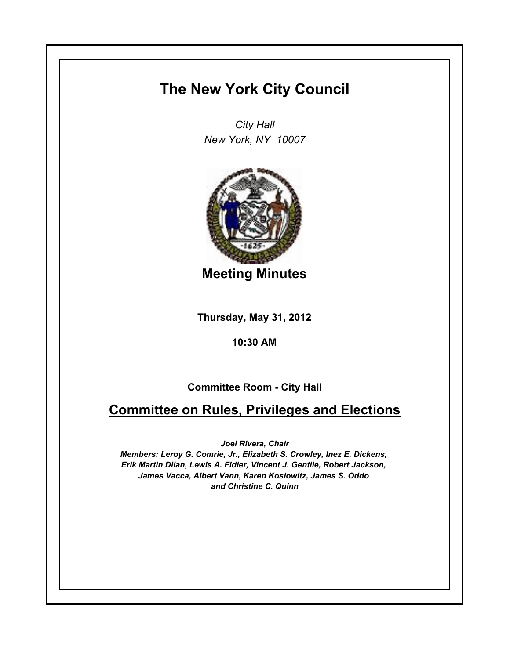## **The New York City Council**

*City Hall New York, NY 10007*



**Meeting Minutes**

**Thursday, May 31, 2012**

**10:30 AM**

**Committee Room - City Hall**

## **Committee on Rules, Privileges and Elections**

*Joel Rivera, Chair*

*Members: Leroy G. Comrie, Jr., Elizabeth S. Crowley, Inez E. Dickens, Erik Martin Dilan, Lewis A. Fidler, Vincent J. Gentile, Robert Jackson, James Vacca, Albert Vann, Karen Koslowitz, James S. Oddo and Christine C. Quinn*